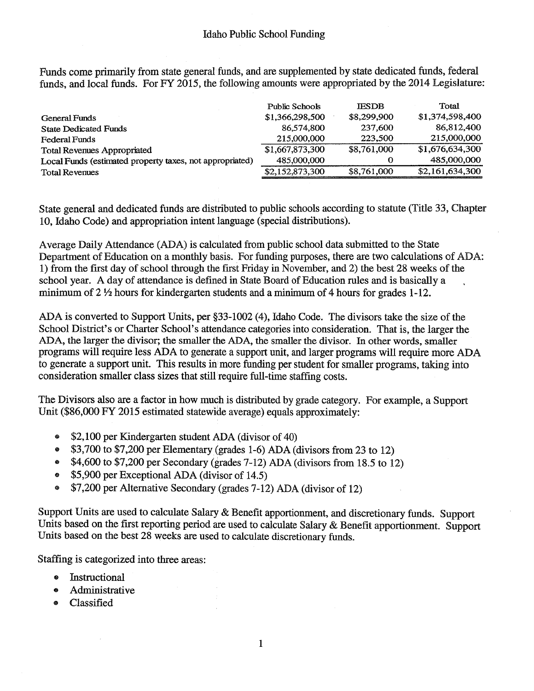Funds come primarily from state general funds, and are supplemented by state dedicated funds, federal funds, and local funds. For FY 2015, the following amounts were appropriated by the 2014 Legislature:

|                                                          | Public Schools  | <b>IESDB</b> | Total           |
|----------------------------------------------------------|-----------------|--------------|-----------------|
| <b>General Funds</b>                                     | \$1,366,298,500 | \$8,299,900  | \$1,374,598,400 |
| <b>State Dedicated Funds</b>                             | 86,574,800      | 237,600      | 86,812,400      |
| <b>Federal Funds</b>                                     | 215,000,000     | 223,500      | 215,000,000     |
| <b>Total Revenues Appropriated</b>                       | \$1,667,873,300 | \$8,761,000  | \$1,676,634,300 |
| Local Funds (estimated property taxes, not appropriated) | 485,000,000     |              | 485,000,000     |
| <b>Total Revenues</b>                                    | \$2,152,873,300 | \$8,761,000  | \$2,161,634,300 |

State general and dedicated funds are distributed to public schools according to statute (Title 33, Chapter 10, Idaho Code) and appropriation intent language (special distributions).

Average Daily Attendance (ADA) is calculated from public school data submitted to the State Department of Education on <sup>a</sup> monthly basis. For funding purposes, there are two calculations of ADA: 1) from the first day of school through the first Friday in November, and 2) the best <sup>28</sup> weeks of the school year. A day of attendance is defined in State Board of Education rules and is basically <sup>a</sup> minimum of <sup>2</sup> <sup>½</sup> hours for kindergarten students and <sup>a</sup> minimum of <sup>4</sup> hours for grades 1-12.

ADA is converted to Support Units, per §33-1002 (4), Idaho Code. The divisors take the size of the School District's or Charter School's attendance categories into consideration. That is, the larger the ADA, the larger the divisor; the smaller the ADA, the smaller the divisor. In other words, smaller programs will require less ADA to generate <sup>a</sup> support unit, and larger programs will require more ADA to generate <sup>a</sup> support unit. This results in more funding per student for smaller programs, taking into consideration smaller class sizes that still require full-time staffing costs.

The Divisors also are <sup>a</sup> factor in how much is distributed by grade category. For example, <sup>a</sup> Support Unit (\$86,000 FY 2015 estimated statewide average) equals approximately:

- \$2,100 per Kindergarten student ADA (divisor of 40)  $\bullet$
- \$3,700 to \$7,200 per Elementary (grades 1-6) ADA (divisors from <sup>23</sup> to 12)  $\bullet$
- \$4,600 to \$7,200 per Secondary (grades 7-12) ADA (divisors from 18.5 to 12)
- \$5,900 per Exceptional ADA (divisor of 14.5)
- \$7,200 per Alternative Secondary (grades 7-12) ADA (divisor of 12)

Support Units are used to calculate Salary & Benefit apportionment, and discretionary funds. Support Units based on the first reporting period are used to calculate Salary & Benefit apportionment. Support Units based on the best 28 weeks are used to calculate discretionary funds.

Staffing is categorized into three areas:

- Instructional
- Administrative  $\bullet$
- Classified  $\bullet$